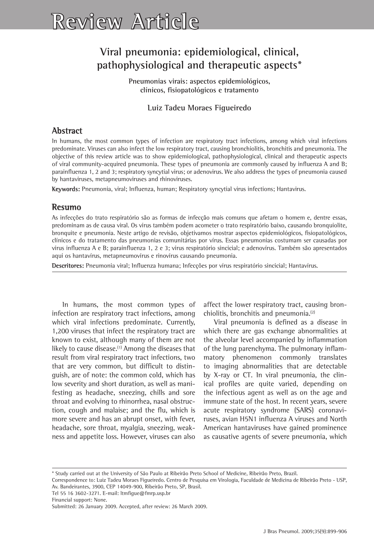# **Review Article**

# **Viral pneumonia: epidemiological, clinical, pathophysiological and therapeutic aspects\***

**Pneumonias virais: aspectos epidemiológicos, clínicos, fisiopatológicos e tratamento**

#### **Luiz Tadeu Moraes Figueiredo**

## **Abstract**

In humans, the most common types of infection are respiratory tract infections, among which viral infections predominate. Viruses can also infect the low respiratory tract, causing bronchiolitis, bronchitis and pneumonia. The objective of this review article was to show epidemiological, pathophysiological, clinical and therapeutic aspects of viral community-acquired pneumonia. These types of pneumonia are commonly caused by influenza A and B; parainfluenza 1, 2 and 3; respiratory syncytial virus; or adenovirus. We also address the types of pneumonia caused by hantaviruses, metapneumoviruses and rhinoviruses.

**Keywords:** Pneumonia, viral; Influenza, human; Respiratory syncytial virus infections; Hantavirus.

#### **Resumo**

As infecções do trato respiratório são as formas de infecção mais comuns que afetam o homem e, dentre essas, predominam as de causa viral. Os vírus também podem acometer o trato respiratório baixo, causando bronquiolite, bronquite e pneumonia. Neste artigo de revisão, objetivamos mostrar aspectos epidemiológicos, fisiopatológicos, clínicos e do tratamento das pneumonias comunitárias por vírus. Essas pneumonias costumam ser causadas por vírus influenza A e B; parainfluenza 1, 2 e 3; vírus respiratório sincicial; e adenovírus. Também são apresentados aqui os hantavírus, metapneumovírus e rinovírus causando pneumonia.

**Descritores:** Pneumonia viral; Influenza humana; Infecções por vírus respiratório sincicial; Hantavírus.

In humans, the most common types of infection are respiratory tract infections, among which viral infections predominate. Currently, 1,200 viruses that infect the respiratory tract are known to exist, although many of them are not likely to cause disease.<sup>(1)</sup> Among the diseases that result from viral respiratory tract infections, two that are very common, but difficult to distinguish, are of note: the common cold, which has low severity and short duration, as well as manifesting as headache, sneezing, chills and sore throat and evolving to rhinorrhea, nasal obstruction, cough and malaise; and the flu, which is more severe and has an abrupt onset, with fever, headache, sore throat, myalgia, sneezing, weakness and appetite loss. However, viruses can also

affect the lower respiratory tract, causing bronchiolitis, bronchitis and pneumonia.(2)

Viral pneumonia is defined as a disease in which there are gas exchange abnormalities at the alveolar level accompanied by inflammation of the lung parenchyma. The pulmonary inflammatory phenomenon commonly translates to imaging abnormalities that are detectable by X-ray or CT. In viral pneumonia, the clinical profiles are quite varied, depending on the infectious agent as well as on the age and immune state of the host. In recent years, severe acute respiratory syndrome (SARS) coronaviruses, avian H5N1 influenza A viruses and North American hantaviruses have gained prominence as causative agents of severe pneumonia, which

Tel 55 16 3602-3271. E-mail: ltmfigue@fmrp.usp.br

Financial support: None.

<sup>\*</sup> Study carried out at the University of São Paulo at Ribeirão Preto School of Medicine, Ribeirão Preto, Brazil.

Correspondence to: Luiz Tadeu Moraes Figueiredo. Centro de Pesquisa em Virologia, Faculdade de Medicina de Ribeirão Preto - USP, Av. Bandeirantes, 3900, CEP 14049-900, Ribeirão Preto, SP, Brasil.

Submitted: 26 January 2009. Accepted, after review: 26 March 2009.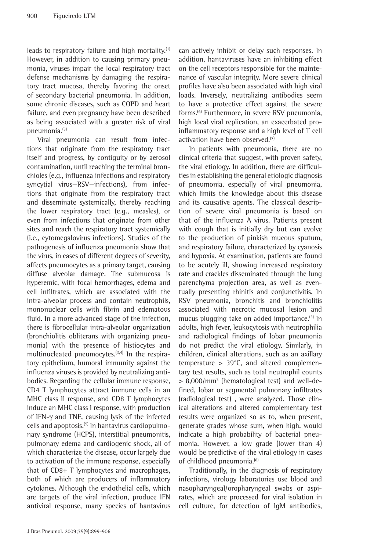leads to respiratory failure and high mortality. $<sup>(1)</sup>$ </sup> However, in addition to causing primary pneumonia, viruses impair the local respiratory tract defense mechanisms by damaging the respiratory tract mucosa, thereby favoring the onset of secondary bacterial pneumonia. In addition, some chronic diseases, such as COPD and heart failure, and even pregnancy have been described as being associated with a greater risk of viral pneumonia.(3)

Viral pneumonia can result from infections that originate from the respiratory tract itself and progress, by contiguity or by aerosol contamination, until reaching the terminal bronchioles (e.g., influenza infections and respiratory syncytial virus—RSV—infections), from infections that originate from the respiratory tract and disseminate systemically, thereby reaching the lower respiratory tract (e.g., measles), or even from infections that originate from other sites and reach the respiratory tract systemically (i.e., cytomegalovirus infections). Studies of the pathogenesis of influenza pneumonia show that the virus, in cases of different degrees of severity, affects pneumocytes as a primary target, causing diffuse alveolar damage. The submucosa is hyperemic, with focal hemorrhages, edema and cell infiltrates, which are associated with the intra-alveolar process and contain neutrophils, mononuclear cells with fibrin and edematous fluid. In a more advanced stage of the infection, there is fibrocellular intra-alveolar organization (bronchiolitis obliterans with organizing pneumonia) with the presence of histiocytes and multinucleated pneumocytes. $(3,4)$  ln the respiratory epithelium, humoral immunity against the influenza viruses is provided by neutralizing antibodies. Regarding the cellular immune response, CD4 T lymphocytes attract immune cells in an MHC class II response, and CD8 T lymphocytes induce an MHC class I response, with production of IFN-γ and TNF, causing lysis of the infected cells and apoptosis.<sup>(5)</sup> In hantavirus cardiopulmonary syndrome (HCPS), interstitial pneumonitis, pulmonary edema and cardiogenic shock, all of which characterize the disease, occur largely due to activation of the immune response, especially that of CD8+ T lymphocytes and macrophages, both of which are producers of inflammatory cytokines. Although the endothelial cells, which are targets of the viral infection, produce IFN antiviral response, many species of hantavirus

can actively inhibit or delay such responses. In addition, hantaviruses have an inhibiting effect on the cell receptors responsible for the maintenance of vascular integrity. More severe clinical profiles have also been associated with high viral loads. Inversely, neutralizing antibodies seem to have a protective effect against the severe forms.(6) Furthermore, in severe RSV pneumonia, high local viral replication, an exacerbated proinflammatory response and a high level of T cell activation have been observed.<sup>(7)</sup>

In patients with pneumonia, there are no clinical criteria that suggest, with proven safety, the viral etiology. In addition, there are difficulties in establishing the general etiologic diagnosis of pneumonia, especially of viral pneumonia, which limits the knowledge about this disease and its causative agents. The classical description of severe viral pneumonia is based on that of the influenza A virus. Patients present with cough that is initially dry but can evolve to the production of pinkish mucous sputum, and respiratory failure, characterized by cyanosis and hypoxia. At examination, patients are found to be acutely ill, showing increased respiratory rate and crackles disseminated through the lung parenchyma projection area, as well as eventually presenting rhinitis and conjunctivitis. In RSV pneumonia, bronchitis and bronchiolitis associated with necrotic mucosal lesion and mucus plugging take on added importance.<sup>(3)</sup> In adults, high fever, leukocytosis with neutrophilia and radiological findings of lobar pneumonia do not predict the viral etiology. Similarly, in children, clinical alterations, such as an axillary temperature > 39°C, and altered complementary test results, such as total neutrophil counts > 8,000/mm3 (hematological test) and well-defined, lobar or segmental pulmonary infiltrates (radiological test) , were analyzed. Those clinical alterations and altered complementary test results were organized so as to, when present, generate grades whose sum, when high, would indicate a high probability of bacterial pneumonia. However, a low grade (lower than 4) would be predictive of the viral etiology in cases of childhood pneumonia.<sup>(8)</sup>

Traditionally, in the diagnosis of respiratory infections, virology laboratories use blood and nasopharyngeal/oropharyngeal swabs or aspirates, which are processed for viral isolation in cell culture, for detection of IgM antibodies,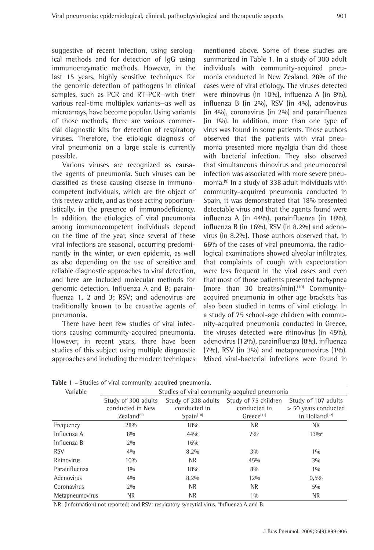suggestive of recent infection, using serological methods and for detection of IgG using immunoenzymatic methods. However, in the last 15 years, highly sensitive techniques for the genomic detection of pathogens in clinical samples, such as PCR and RT-PCR—with their various real-time multiplex variants—as well as microarrays, have become popular. Using variants of those methods, there are various commercial diagnostic kits for detection of respiratory viruses. Therefore, the etiologic diagnosis of viral pneumonia on a large scale is currently possible.

Various viruses are recognized as causative agents of pneumonia. Such viruses can be classified as those causing disease in immunocompetent individuals, which are the object of this review article, and as those acting opportunistically, in the presence of immunodeficiency. In addition, the etiologies of viral pneumonia among immunocompetent individuals depend on the time of the year, since several of these viral infections are seasonal, occurring predominantly in the winter, or even epidemic, as well as also depending on the use of sensitive and reliable diagnostic approaches to viral detection, and here are included molecular methods for genomic detection. Influenza A and B; parainfluenza 1, 2 and 3; RSV; and adenovirus are traditionally known to be causative agents of pneumonia.

There have been few studies of viral infections causing community-acquired pneumonia. However, in recent years, there have been studies of this subject using multiple diagnostic approaches and including the modern techniques

mentioned above. Some of these studies are summarized in Table 1. In a study of 300 adult individuals with community-acquired pneumonia conducted in New Zealand, 28% of the cases were of viral etiology. The viruses detected were rhinovirus (in 10%), influenza A (in 8%), influenza B (in 2%), RSV (in 4%), adenovirus (in 4%), coronavirus (in 2%) and parainfluenza (in 1%). In addition, more than one type of virus was found in some patients. Those authors observed that the patients with viral pneumonia presented more myalgia than did those with bacterial infection. They also observed that simultaneous rhinovirus and pneumococcal infection was associated with more severe pneumonia.(9) In a study of 338 adult individuals with community-acquired pneumonia conducted in Spain, it was demonstrated that 18% presented detectable virus and that the agents found were influenza A (in 44%), parainfluenza (in 18%), influenza B (in 16%), RSV (in 8.2%) and adenovirus (in 8.2%). Those authors observed that, in 66% of the cases of viral pneumonia, the radiological examinations showed alveolar infiltrates, that complaints of cough with expectoration were less frequent in the viral cases and even that most of those patients presented tachypnea (more than 30 breaths/min).<sup>(10)</sup> Communityacquired pneumonia in other age brackets has also been studied in terms of viral etiology. In a study of 75 school-age children with community-acquired pneumonia conducted in Greece, the viruses detected were rhinovirus (in 45%), adenovirus (12%), parainfluenza (8%), influenza (7%), RSV (in 3%) and metapneumovirus (1%). Mixed viral-bacterial infections were found in

| Variable        | Studies of viral community acquired pneumonia |                      |                      |                      |  |
|-----------------|-----------------------------------------------|----------------------|----------------------|----------------------|--|
|                 | Study of 300 adults                           | Study of 338 adults  | Study of 75 children | Study of 107 adults  |  |
|                 | conducted in New                              | conducted in         | conducted in         | > 50 years conducted |  |
|                 | Zealand <sup>(9)</sup>                        | Spin <sup>(10)</sup> | $Greece^{(11)}$      | in Holland $(12)$    |  |
| Frequency       | 28%                                           | 18%                  | NR.                  | NR                   |  |
| Influenza A     | 8%                                            | 44%                  | $70/0^a$             | $13\%$ <sup>a</sup>  |  |
| Influenza B     | 2%                                            | 16%                  |                      |                      |  |
| <b>RSV</b>      | 40/0                                          | 8.2%                 | $3\%$                | 10/0                 |  |
| Rhinovirus      | 10%                                           | NR                   | 45%                  | 3%                   |  |
| Parainfluenza   | 10/0                                          | 18%                  | 8%                   | $1\%$                |  |
| Adenovirus      | 40/0                                          | 8,2%                 | 12%                  | 0,5%                 |  |
| Coronavirus     | 2%                                            | NR                   | NR.                  | 50/0                 |  |
| Metapneumovirus | N <sub>R</sub>                                | NR                   | 10/0                 | NR                   |  |

**Table 1 -** Studies of viral community-acquired pneumonia.

NR: (information) not reported; and RSV: respiratory syncytial virus. ªInfluenza A and B.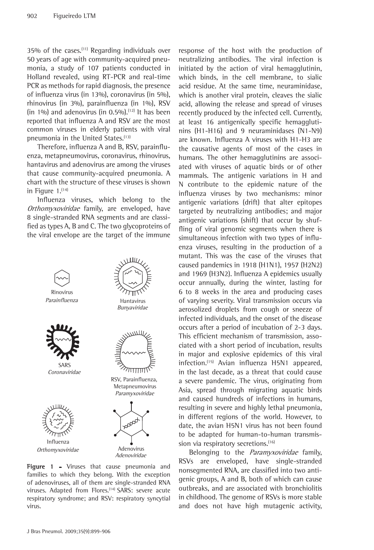$35%$  of the cases.<sup> $(11)$ </sup> Regarding individuals over 50 years of age with community-acquired pneumonia, a study of 107 patients conducted in Holland revealed, using RT-PCR and real-time PCR as methods for rapid diagnosis, the presence of influenza virus (in 13%), coronavirus (in 5%), rhinovirus (in 3%), parainfluenza (in 1%), RSV (in 1%) and adenovirus (in  $0.5\%$ ).<sup>(12)</sup> It has been reported that influenza A and RSV are the most common viruses in elderly patients with viral pneumonia in the United States.<sup>(13)</sup>

Therefore, influenza A and B, RSV, parainfluenza, metapneumovirus, coronavirus, rhinovirus, hantavirus and adenovirus are among the viruses that cause community-acquired pneumonia. A chart with the structure of these viruses is shown in Figure  $1.(14)$ 

Influenza viruses, which belong to the Orthomyxoviridae family, are enveloped, have 8 single-stranded RNA segments and are classified as types A, B and C. The two glycoproteins of the viral envelope are the target of the immune



**Figure 1 -** Viruses that cause pneumonia and families to which they belong. With the exception of adenoviruses, all of them are single-stranded RNA viruses. Adapted from Flores.<sup>(14)</sup> SARS: severe acute respiratory syndrome; and RSV: respiratory syncytial virus.

response of the host with the production of neutralizing antibodies. The viral infection is initiated by the action of viral hemagglutinin, which binds, in the cell membrane, to sialic acid residue. At the same time, neuraminidase, which is another viral protein, cleaves the sialic acid, allowing the release and spread of viruses recently produced by the infected cell. Currently, at least 16 antigenically specific hemagglutinins (H1-H16) and 9 neuraminidases (N1-N9) are known. Influenza A viruses with H1-H3 are the causative agents of most of the cases in humans. The other hemagglutinins are associated with viruses of aquatic birds or of other mammals. The antigenic variations in H and N contribute to the epidemic nature of the influenza viruses by two mechanisms: minor antigenic variations (drift) that alter epitopes targeted by neutralizing antibodies; and major antigenic variations (shift) that occur by shuffling of viral genomic segments when there is simultaneous infection with two types of influenza viruses, resulting in the production of a mutant. This was the case of the viruses that caused pandemics in 1918 (H1N1), 1957 (H2N2) and 1969 (H3N2). Influenza A epidemics usually occur annually, during the winter, lasting for 6 to 8 weeks in the area and producing cases of varying severity. Viral transmission occurs via aerosolized droplets from cough or sneeze of infected individuals, and the onset of the disease occurs after a period of incubation of 2-3 days. This efficient mechanism of transmission, associated with a short period of incubation, results in major and explosive epidemics of this viral infection.<sup>(15)</sup> Avian influenza H5N1 appeared, in the last decade, as a threat that could cause a severe pandemic. The virus, originating from Asia, spread through migrating aquatic birds and caused hundreds of infections in humans, resulting in severe and highly lethal pneumonia, in different regions of the world. However, to date, the avian H5N1 virus has not been found to be adapted for human-to-human transmission via respiratory secretions.<sup>(16)</sup>

Belonging to the Paramyxoviridae family, RSVs are enveloped, have single-stranded nonsegmented RNA, are classified into two antigenic groups, A and B, both of which can cause outbreaks, and are associated with bronchiolitis in childhood. The genome of RSVs is more stable and does not have high mutagenic activity,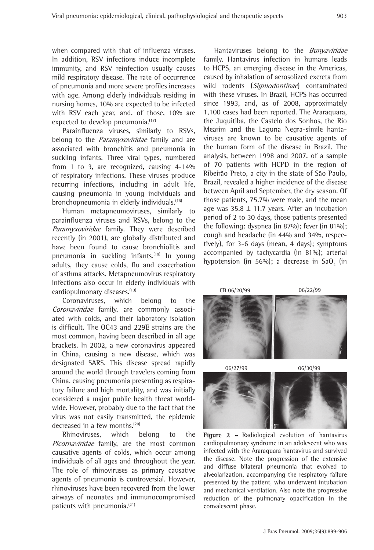when compared with that of influenza viruses. In addition, RSV infections induce incomplete immunity, and RSV reinfection usually causes mild respiratory disease. The rate of occurrence of pneumonia and more severe profiles increases with age. Among elderly individuals residing in nursing homes, 10% are expected to be infected with RSV each year, and, of those, 10% are expected to develop pneumonia.<sup>(17)</sup>

Parainfluenza viruses, similarly to RSVs, belong to the Paramyxoviridae family and are associated with bronchitis and pneumonia in suckling infants. Three viral types, numbered from 1 to 3, are recognized, causing 4-14% of respiratory infections. These viruses produce recurring infections, including in adult life, causing pneumonia in young individuals and bronchopneumonia in elderly individuals.(18)

Human metapneumoviruses, similarly to parainfluenza viruses and RSVs, belong to the Paramyxoviridae family. They were described recently (in 2001), are globally distributed and have been found to cause bronchiolitis and pneumonia in suckling infants.<sup>(19)</sup> In young adults, they cause colds, flu and exacerbation of asthma attacks. Metapneumovirus respiratory infections also occur in elderly individuals with cardiopulmonary diseases.(13)

Coronaviruses, which belong to the Coronaviridae family, are commonly associated with colds, and their laboratory isolation is difficult. The OC43 and 229E strains are the most common, having been described in all age brackets. In 2002, a new coronavirus appeared in China, causing a new disease, which was designated SARS. This disease spread rapidly around the world through travelers coming from China, causing pneumonia presenting as respiratory failure and high mortality, and was initially considered a major public health threat worldwide. However, probably due to the fact that the virus was not easily transmitted, the epidemic decreased in a few months.<sup>(20)</sup>

Rhinoviruses, which belong to the Picornaviridae family, are the most common causative agents of colds, which occur among individuals of all ages and throughout the year. The role of rhinoviruses as primary causative agents of pneumonia is controversial. However, rhinoviruses have been recovered from the lower airways of neonates and immunocompromised patients with pneumonia.(21)

Hantaviruses belong to the *Bunvaviridae* family. Hantavirus infection in humans leads to HCPS, an emerging disease in the Americas, caused by inhalation of aerosolized excreta from wild rodents (*Siamodontinae*) contaminated with these viruses. In Brazil, HCPS has occurred since 1993, and, as of 2008, approximately 1,100 cases had been reported. The Araraquara, the Juquitiba, the Castelo dos Sonhos, the Rio Mearim and the Laguna Negra-símile hantaviruses are known to be causative agents of the human form of the disease in Brazil. The analysis, between 1998 and 2007, of a sample of 70 patients with HCPD in the region of Ribeirão Preto, a city in the state of São Paulo, Brazil, revealed a higher incidence of the disease between April and September, the dry season. Of those patients, 75.7% were male, and the mean age was 35.8  $\pm$  11.7 years. After an incubation period of 2 to 30 days, those patients presented the following: dyspnea (in 87%); fever (in 81%); cough and headache (in 44% and 34%, respectively), for 3-6 days (mean, 4 days); symptoms accompanied by tachycardia (in 81%); arterial hypotension (in 56%); a decrease in Sa $0_{_2}$  (in







**Figure 2 -** Radiological evolution of hantavirus cardiopulmonary syndrome in an adolescent who was infected with the Araraquara hantavirus and survived the disease. Note the progression of the extensive and diffuse bilateral pneumonia that evolved to alveolarization, accompanying the respiratory failure presented by the patient, who underwent intubation and mechanical ventilation. Also note the progressive reduction of the pulmonary opacification in the convalescent phase.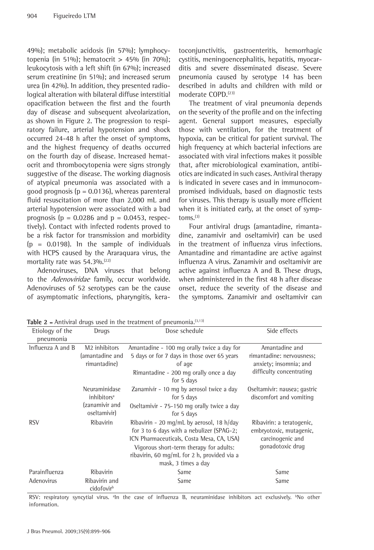49%); metabolic acidosis (in 57%); lymphocytopenia (in 51%); hematocrit > 45% (in 70%); leukocytosis with a left shift (in 67%); increased serum creatinine (in 51%); and increased serum urea (in 42%). In addition, they presented radiological alteration with bilateral diffuse interstitial opacification between the first and the fourth day of disease and subsequent alveolarization, as shown in Figure 2. The progression to respiratory failure, arterial hypotension and shock occurred 24-48 h after the onset of symptoms, and the highest frequency of deaths occurred on the fourth day of disease. Increased hematocrit and thrombocytopenia were signs strongly suggestive of the disease. The working diagnosis of atypical pneumonia was associated with a good prognosis ( $p = 0.0136$ ), whereas parenteral fluid resuscitation of more than 2,000 mL and arterial hypotension were associated with a bad prognosis ( $p = 0.0286$  and  $p = 0.0453$ , respectively). Contact with infected rodents proved to be a risk factor for transmission and morbidity  $(p = 0.0198)$ . In the sample of individuals with HCPS caused by the Araraquara virus, the mortality rate was 54.3%.<sup>(22)</sup>

Adenoviruses, DNA viruses that belong to the Adenoviridae family, occur worldwide. Adenoviruses of 52 serotypes can be the cause of asymptomatic infections, pharyngitis, keratoconjunctivitis, gastroenteritis, hemorrhagic cystitis, meningoencephalitis, hepatitis, myocarditis and severe disseminated disease. Severe pneumonia caused by serotype 14 has been described in adults and children with mild or moderate COPD.(23)

The treatment of viral pneumonia depends on the severity of the profile and on the infecting agent. General support measures, especially those with ventilation, for the treatment of hypoxia, can be critical for patient survival. The high frequency at which bacterial infections are associated with viral infections makes it possible that, after microbiological examination, antibiotics are indicated in such cases. Antiviral therapy is indicated in severe cases and in immunocompromised individuals, based on diagnostic tests for viruses. This therapy is usually more efficient when it is initiated early, at the onset of symp $t \text{oms}$ . $(3)$ 

Four antiviral drugs (amantadine, rimantadine, zanamivir and oseltamivir) can be used in the treatment of influenza virus infections. Amantadine and rimantadine are active against influenza A virus. Zanamivir and oseltamivir are active against influenza A and B. These drugs, when administered in the first 48 h after disease onset, reduce the severity of the disease and the symptoms. Zanamivir and oseltamivir can

**Table 2** - Antiviral drugs used in the treatment of pneumonia.<sup>(3,13)</sup>

| Etiology of the   | Drugs                                                                            | Dose schedule                                                                                                                                                                                                                                        | Side effects                                                                                      |
|-------------------|----------------------------------------------------------------------------------|------------------------------------------------------------------------------------------------------------------------------------------------------------------------------------------------------------------------------------------------------|---------------------------------------------------------------------------------------------------|
| pneumonia         |                                                                                  |                                                                                                                                                                                                                                                      |                                                                                                   |
| Influenza A and B | M <sub>2</sub> inhibitors<br>(amantadine and<br>rimantadine)                     | Amantadine - 100 mg orally twice a day for<br>5 days or for 7 days in those over 65 years<br>of age<br>Rimantadine - 200 mg orally once a day<br>for 5 days                                                                                          | Amantadine and<br>rimantadine: nervousness;<br>anxiety; insomnia; and<br>difficulty concentrating |
|                   | Neuraminidase<br><i>inhibitors<sup>a</sup></i><br>(zanamivir and<br>oseltamivir) | Zanamivir - 10 mg by aerosol twice a day<br>for 5 days<br>Oseltamivir - 75-150 mg orally twice a day<br>for 5 days                                                                                                                                   | Oseltamivir: nausea; gastric<br>discomfort and vomiting                                           |
| <b>RSV</b>        | Ribavirin                                                                        | Ribavirin - 20 mg/mL by aerosol, 18 h/day<br>for 3 to 6 days with a nebulizer (SPAG-2;<br>ICN Pharmaceuticals, Costa Mesa, CA, USA)<br>Vigorous short-term therapy for adults:<br>ribavirin, 60 mg/mL for 2 h, provided via a<br>mask, 3 times a day | Ribavirin: a teratogenic,<br>embryotoxic, mutagenic,<br>carcinogenic and<br>gonadotoxic drug      |
| Parainfluenza     | Ribavirin                                                                        | Same                                                                                                                                                                                                                                                 | Same                                                                                              |
| Adenovirus        | Ribavirin and<br>cidofovir <sup>b</sup>                                          | Same                                                                                                                                                                                                                                                 | Same                                                                                              |

RSV: respiratory syncytial virus. <sup>a</sup>ln the case of influenza B, neuraminidase inhibitors act exclusively. <sup>b</sup>No other information.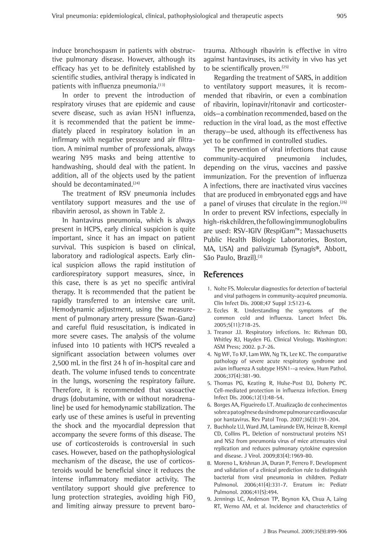induce bronchospasm in patients with obstructive pulmonary disease. However, although its efficacy has yet to be definitely established by scientific studies, antiviral therapy is indicated in patients with influenza pneumonia.<sup>(13)</sup>

In order to prevent the introduction of respiratory viruses that are epidemic and cause severe disease, such as avian H5N1 influenza, it is recommended that the patient be immediately placed in respiratory isolation in an infirmary with negative pressure and air filtration. A minimal number of professionals, always wearing N95 masks and being attentive to handwashing, should deal with the patient. In addition, all of the objects used by the patient should be decontaminated.<sup>(24)</sup>

The treatment of RSV pneumonia includes ventilatory support measures and the use of ribavirin aerosol, as shown in Table 2.

In hantavirus pneumonia, which is always present in HCPS, early clinical suspicion is quite important, since it has an impact on patient survival. This suspicion is based on clinical, laboratory and radiological aspects. Early clinical suspicion allows the rapid institution of cardiorespiratory support measures, since, in this case, there is as yet no specific antiviral therapy. It is recommended that the patient be rapidly transferred to an intensive care unit. Hemodynamic adjustment, using the measurement of pulmonary artery pressure (Swan-Ganz) and careful fluid resuscitation, is indicated in more severe cases. The analysis of the volume infused into 10 patients with HCPS revealed a significant association between volumes over 2,500 mL in the first 24 h of in-hospital care and death. The volume infused tends to concentrate in the lungs, worsening the respiratory failure. Therefore, it is recommended that vasoactive drugs (dobutamine, with or without noradrenaline) be used for hemodynamic stabilization. The early use of these amines is useful in preventing the shock and the myocardial depression that accompany the severe forms of this disease. The use of corticosteroids is controversial in such cases. However, based on the pathophysiological mechanism of the disease, the use of corticosteroids would be beneficial since it reduces the intense inflammatory mediator activity. The ventilatory support should give preference to lung protection strategies, avoiding high FiO<sub>2</sub> and limiting airway pressure to prevent baro-

trauma. Although ribavirin is effective in vitro against hantaviruses, its activity in vivo has yet to be scientifically proven.<sup>(25)</sup>

Regarding the treatment of SARS, in addition to ventilatory support measures, it is recommended that ribavirin, or even a combination of ribavirin, lopinavir/ritonavir and corticosteroids—a combination recommended, based on the reduction in the viral load, as the most effective therapy—be used, although its effectiveness has yet to be confirmed in controlled studies.

The prevention of viral infections that cause community-acquired pneumonia includes, depending on the virus, vaccines and passive immunization. For the prevention of influenza A infections, there are inactivated virus vaccines that are produced in embryonated eggs and have a panel of viruses that circulate in the region.<sup>(26)</sup> In order to prevent RSV infections, especially in high-risk children, the following immunoglobulins are used: RSV-IGIV (RespiGam™; Massachusetts Public Health Biologic Laboratories, Boston, MA, USA) and palivizumab (Synagis®, Abbott, São Paulo, Brazil).<sup>(3)</sup>

#### **References**

- 1. Nolte FS. Molecular diagnostics for detection of bacterial and viral pathogens in community-acquired pneumonia. Clin Infect Dis. 2008;47 Suppl 3:S123-6.
- 2. Eccles R. Understanding the symptoms of the common cold and influenza. Lancet Infect Dis. 2005;5(11):718-25.
- 3. Treanor JJ. Respiratory infections. In: Richman DD, Whitley RJ, Hayden FG. Clinical Virology. Washington: ASM Press; 2002. p.7-26.
- 4. Ng WF, To KF, Lam WW, Ng TK, Lee KC. The comparative pathology of severe acute respiratory syndrome and avian influenza A subtype H5N1--a review. Hum Pathol. 2006;37(4):381-90.
- 5. Thomas PG, Keating R, Hulse-Post DJ, Doherty PC. Cell-mediated protection in influenza infection. Emerg Infect Dis. 2006;12(1):48-54.
- 6. Borges AA, Figueiredo LT. Atualização de conhecimentos sobre a patogênese da síndrome pulmonar e cardiovascular por hantavírus. Rev Patol Trop. 2007;36(3):191-204.
- 7. Buchholz UJ, Ward JM, Lamirande EW, Heinze B, Krempl CD, Collins PL. Deletion of nonstructural proteins NS1 and NS2 from pneumonia virus of mice attenuates viral replication and reduces pulmonary cytokine expression and disease. J Virol. 2009;83(4):1969-80.
- 8. Moreno L, Krishnan JA, Duran P, Ferrero F. Development and validation of a clinical prediction rule to distinguish bacterial from viral pneumonia in children. Pediatr Pulmonol. 2006;41(4):331-7. Erratum in: Pediatr Pulmonol. 2006;41(5):494.
- 9. Jennings LC, Anderson TP, Beynon KA, Chua A, Laing RT, Werno AM, et al. Incidence and characteristics of